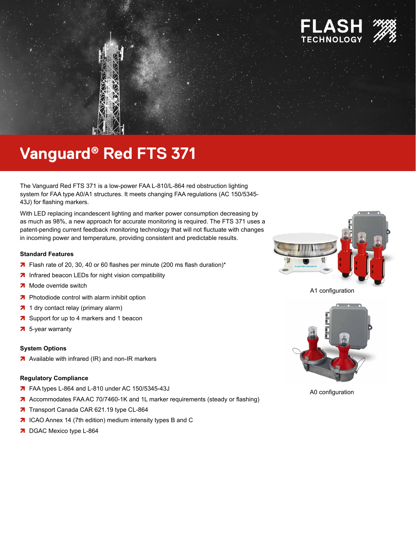

# Vanguard® Red FTS 371

The Vanguard Red FTS 371 is a low-power FAA L-810/L-864 red obstruction lighting system for FAA type A0/A1 structures. It meets changing FAA regulations (AC 150/5345-43J) for flashing markers.

With LED replacing incandescent lighting and marker power consumption decreasing by as much as 98%, a new approach for accurate monitoring is required. The FTS 371 uses a patent-pending current feedback monitoring technology that will not fluctuate with changes in incoming power and temperature, providing consistent and predictable results.

## **Standard Features**

- 7 Flash rate of 20, 30, 40 or 60 flashes per minute (200 ms flash duration)\*
- 7 Infrared beacon LEDs for night vision compatibility
- Mode override switch
- 7 Photodiode control with alarm inhibit option
- 7 1 dry contact relay (primary alarm)
- $\overline{\mathbf{z}}$ Support for up to 4 markers and 1 beacon
- 5-year warranty  $\overline{\mathbf{z}}$

### **System Options**

A Available with infrared (IR) and non-IR markers

#### **Regulatory Compliance**

- 7 FAA types L-864 and L-810 under AC 150/5345-43J
- 7 Accommodates FAA AC 70/7460-1K and 1L marker requirements (steady or flashing)
- 7 Transport Canada CAR 621.19 type CL-864
- 7 ICAO Annex 14 (7th edition) medium intensity types B and C
- 7 DGAC Mexico type L-864



A1 configuration



A0 configuration